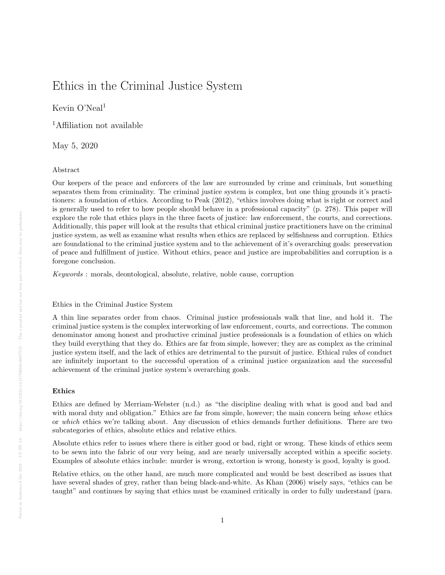# Ethics in the Criminal Justice System

# Kevin O'Neal<sup>1</sup>

<sup>1</sup>Affiliation not available

May 5, 2020

## Abstract

Our keepers of the peace and enforcers of the law are surrounded by crime and criminals, but something separates them from criminality. The criminal justice system is complex, but one thing grounds it's practitioners: a foundation of ethics. According to Peak (2012), "ethics involves doing what is right or correct and is generally used to refer to how people should behave in a professional capacity" (p. 278). This paper will explore the role that ethics plays in the three facets of justice: law enforcement, the courts, and corrections. Additionally, this paper will look at the results that ethical criminal justice practitioners have on the criminal justice system, as well as examine what results when ethics are replaced by selfishness and corruption. Ethics are foundational to the criminal justice system and to the achievement of it's overarching goals: preservation of peace and fulfillment of justice. Without ethics, peace and justice are improbabilities and corruption is a foregone conclusion.

Keywords : morals, deontological, absolute, relative, noble cause, corruption

# Ethics in the Criminal Justice System

A thin line separates order from chaos. Criminal justice professionals walk that line, and hold it. The criminal justice system is the complex interworking of law enforcement, courts, and corrections. The common denominator among honest and productive criminal justice professionals is a foundation of ethics on which they build everything that they do. Ethics are far from simple, however; they are as complex as the criminal justice system itself, and the lack of ethics are detrimental to the pursuit of justice. Ethical rules of conduct are infinitely important to the successful operation of a criminal justice organization and the successful achievement of the criminal justice system's overarching goals.

# Ethics

Ethics are defined by Merriam-Webster (n.d.) as "the discipline dealing with what is good and bad and with moral duty and obligation." Ethics are far from simple, however; the main concern being whose ethics or which ethics we're talking about. Any discussion of ethics demands further definitions. There are two subcategories of ethics, absolute ethics and relative ethics.

Absolute ethics refer to issues where there is either good or bad, right or wrong. These kinds of ethics seem to be sewn into the fabric of our very being, and are nearly universally accepted within a specific society. Examples of absolute ethics include: murder is wrong, extortion is wrong, honesty is good, loyalty is good.

Relative ethics, on the other hand, are much more complicated and would be best described as issues that have several shades of grey, rather than being black-and-white. As Khan (2006) wisely says, "ethics can be taught" and continues by saying that ethics must be examined critically in order to fully understand (para.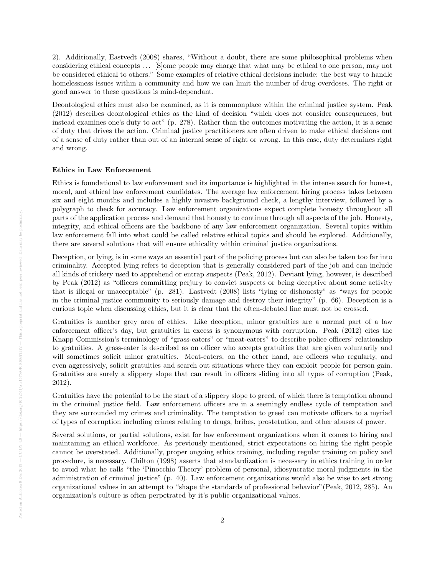2). Additionally, Eastvedt (2008) shares, "Without a doubt, there are some philosophical problems when considering ethical concepts . . . [S]ome people may charge that what may be ethical to one person, may not be considered ethical to others." Some examples of relative ethical decisions include: the best way to handle homelessness issues within a community and how we can limit the number of drug overdoses. The right or good answer to these questions is mind-dependant.

Deontological ethics must also be examined, as it is commonplace within the criminal justice system. Peak (2012) describes deontological ethics as the kind of decision "which does not consider consequences, but instead examines one's duty to act" (p. 278). Rather than the outcomes motivating the action, it is a sense of duty that drives the action. Criminal justice practitioners are often driven to make ethical decisions out of a sense of duty rather than out of an internal sense of right or wrong. In this case, duty determines right and wrong.

#### Ethics in Law Enforcement

Ethics is foundational to law enforcement and its importance is highlighted in the intense search for honest, moral, and ethical law enforcement candidates. The average law enforcement hiring process takes between six and eight months and includes a highly invasive background check, a lengthy interview, followed by a polygraph to check for accuracy. Law enforcement organizations expect complete honesty throughout all parts of the application process and demand that honesty to continue through all aspects of the job. Honesty, integrity, and ethical officers are the backbone of any law enforcement organization. Several topics within law enforcement fall into what could be called relative ethical topics and should be explored. Additionally, there are several solutions that will ensure ethicality within criminal justice organizations.

Deception, or lying, is in some ways an essential part of the policing process but can also be taken too far into criminality. Accepted lying refers to deception that is generally considered part of the job and can include all kinds of trickery used to apprehend or entrap suspects (Peak, 2012). Deviant lying, however, is described by Peak (2012) as "officers committing perjury to convict suspects or being deceptive about some activity that is illegal or unacceptable" (p. 281). Eastvedt (2008) lists "lying or dishonesty" as "ways for people in the criminal justice community to seriously damage and destroy their integrity" (p. 66). Deception is a curious topic when discussing ethics, but it is clear that the often-debated line must not be crossed.

Gratuities is another grey area of ethics. Like deception, minor gratuities are a normal part of a law enforcement officer's day, but gratuities in excess is synonymous with corruption. Peak (2012) cites the Knapp Commission's terminology of "grass-eaters" or "meat-eaters" to describe police officers' relationship to gratuities. A grass-eater is described as on officer who accepts gratuities that are given voluntarily and will sometimes solicit minor gratuities. Meat-eaters, on the other hand, are officers who regularly, and even aggressively, solicit gratuities and search out situations where they can exploit people for person gain. Gratuities are surely a slippery slope that can result in officers sliding into all types of corruption (Peak, 2012).

Gratuities have the potential to be the start of a slippery slope to greed, of which there is temptation abound in the criminal justice field. Law enforcement officers are in a seemingly endless cycle of temptation and they are surrounded my crimes and criminality. The temptation to greed can motivate officers to a myriad of types of corruption including crimes relating to drugs, bribes, prostetution, and other abuses of power.

Several solutions, or partial solutions, exist for law enforcement organizations when it comes to hiring and maintaining an ethical workforce. As previously mentioned, strict expectations on hiring the right people cannot be overstated. Additionally, proper ongoing ethics training, including regular training on policy and procedure, is necessary. Chilton (1998) asserts that standardization is necessary in ethics training in order to avoid what he calls "the 'Pinocchio Theory' problem of personal, idiosyncratic moral judgments in the administration of criminal justice" (p. 40). Law enforcement organizations would also be wise to set strong organizational values in an attempt to "shape the standards of professional behavior"(Peak, 2012, 285). An organization's culture is often perpetrated by it's public organizational values.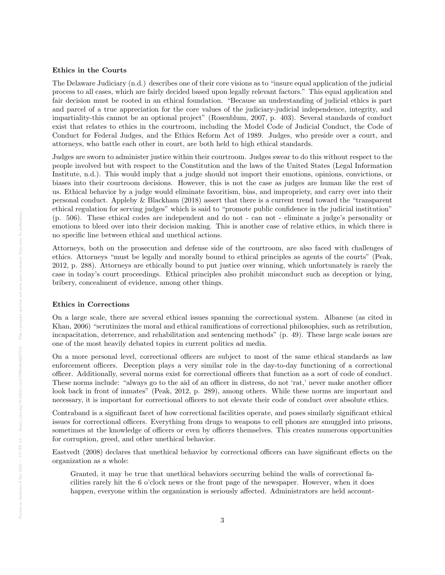#### Ethics in the Courts

The Delaware Judiciary (n.d.) describes one of their core visions as to "insure equal application of the judicial process to all cases, which are fairly decided based upon legally relevant factors." This equal application and fair decision must be rooted in an ethical foundation. "Because an understanding of judicial ethics is part and parcel of a true appreciation for the core values of the judiciary-judicial independence, integrity, and impartiality-this cannot be an optional project" (Rosenblum, 2007, p. 403). Several standards of conduct exist that relates to ethics in the courtroom, including the Model Code of Judicial Conduct, the Code of Conduct for Federal Judges, and the Ethics Reform Act of 1989. Judges, who preside over a court, and attorneys, who battle each other in court, are both held to high ethical standards.

Judges are sworn to administer justice within their courtroom. Judges swear to do this without respect to the people involved but with respect to the Constitution and the laws of the United States (Legal Information Institute, n.d.). This would imply that a judge should not import their emotions, opinions, convictions, or biases into their courtroom decisions. However, this is not the case as judges are human like the rest of us. Ethical behavior by a judge would eliminate favoritism, bias, and impropriety, and carry over into their personal conduct. Appleby & Blackham (2018) assert that there is a current trend toward the "transparent ethical regulation for serving judges" which is said to "promote public confidence in the judicial institution" (p. 506). These ethical codes are independent and do not - can not - eliminate a judge's personality or emotions to bleed over into their decision making. This is another case of relative ethics, in which there is no specific line between ethical and unethical actions.

Attorneys, both on the prosecution and defense side of the courtroom, are also faced with challenges of ethics. Attorneys "must be legally and morally bound to ethical principles as agents of the courts" (Peak, 2012, p. 288). Attorneys are ethically bound to put justice over winning, which unfortunately is rarely the case in today's court proceedings. Ethical principles also prohibit misconduct such as deception or lying, bribery, concealment of evidence, among other things.

#### Ethics in Corrections

On a large scale, there are several ethical issues spanning the correctional system. Albanese (as cited in Khan, 2006) "scrutinizes the moral and ethical ramifications of correctional philosophies, such as retribution, incapacitation, deterrence, and rehabilitation and sentencing methods" (p. 49). These large scale issues are one of the most heavily debated topics in current politics ad media.

On a more personal level, correctional officers are subject to most of the same ethical standards as law enforcement officers. Deception plays a very similar role in the day-to-day functioning of a correctional officer. Additionally, several norms exist for correctional officers that function as a sort of code of conduct. These norms include: "always go to the aid of an officer in distress, do not 'rat,' never make another officer look back in front of inmates" (Peak, 2012, p. 289), among others. While these norms are important and necessary, it is important for correctional officers to not elevate their code of conduct over absolute ethics.

Contraband is a significant facet of how correctional facilities operate, and poses similarly significant ethical issues for correctional officers. Everything from drugs to weapons to cell phones are smuggled into prisons, sometimes at the knowledge of officers or even by officers themselves. This creates numerous opportunities for corruption, greed, and other unethical behavior.

Eastvedt (2008) declares that unethical behavior by correctional officers can have significant effects on the organization as a whole:

Granted, it may be true that unethical behaviors occurring behind the walls of correctional facilities rarely hit the 6 o'clock news or the front page of the newspaper. However, when it does happen, everyone within the organization is seriously affected. Administrators are held account